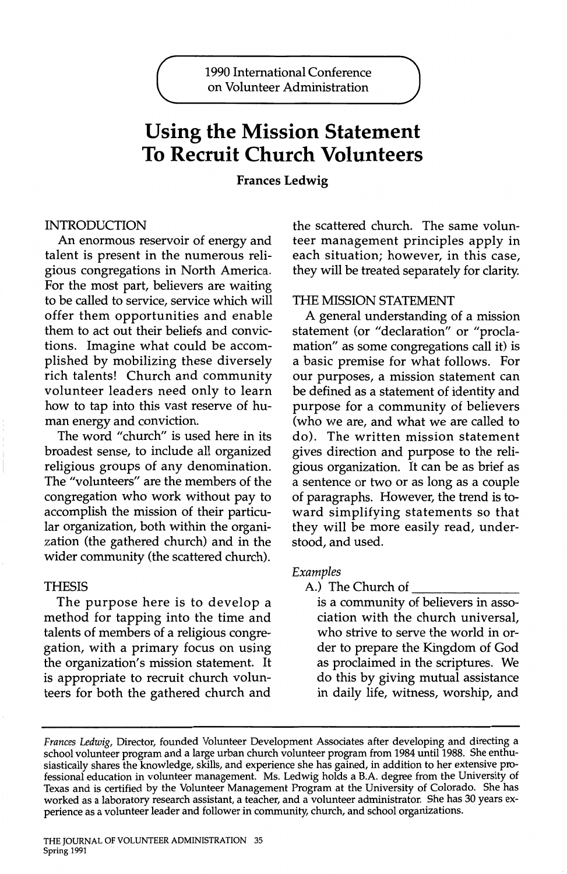# **Using the Mission Statement To Recruit Church Volunteers**

**Frances Ledwig** 

### INTRODUCTION

An enormous reservoir of energy and talent is present in the numerous religious congregations in North America. For the most part, believers are waiting to be called to service, service which will offer them opportunities and enable them to act out their beliefs and convictions. Imagine what could be accomplished by mobilizing these diversely rich talents! Church and community volunteer leaders need only to learn how to tap into this vast reserve of human energy and conviction.

The word "church" is used here in its broadest sense, to include all organized religious groups of any denomination. The "volunteers" are the members of the congregation who work without pay to accomplish the mission of their particular organization, both within the organization (the gathered church) and in the wider community (the scattered church).

## **THESIS**

The purpose here is to develop a method for tapping into the time and talents of members of a religious congregation, with a primary focus on using the organization's mission statement. It is appropriate to recruit church volunteers for both the gathered church and

the scattered church. The same volunteer management principles apply in each situation; however, in this case, they will be treated separately for clarity.

## THE MISSION STATEMENT

A general understanding of a mission statement (or "declaration" or "proclamation" as some congregations call it) is a basic premise for what follows. For our purposes, a mission statement can be defined as a statement of identity and purpose for a community of believers (who we are, and what we are called to do). The written mission statement gives direction and purpose to the religious organization. It can be as brief as a sentence or two or as long as a couple of paragraphs. However, the trend is toward simplifying statements so that they will be more easily read, understood, and used.

## Examples

A.) The Church of

is a community of believers in association with the church universal, who strive to serve the world in order to prepare the Kingdom of God as proclaimed in the scriptures. We do this by giving mutual assistance in daily life, witness, worship, and

*Frances Ledwig,* Director, founded Volunteer Development Associates after developing and directing a school volunteer program and a large urban church volunteer program from 1984 until 1988. She enthusiastically shares the knowledge, skills, and experience she has gained, in addition to her extensive professional education in volunteer management. Ms. Ledwig holds a B.A. degree from the University of Texas and is certified by the Volunteer Management Program at the University of Colorado. She has worked as a laboratory research assistant, a teacher, and a volunteer administrator. She has 30 years experience as a volunteer leader and follower in community, church, and school organizations.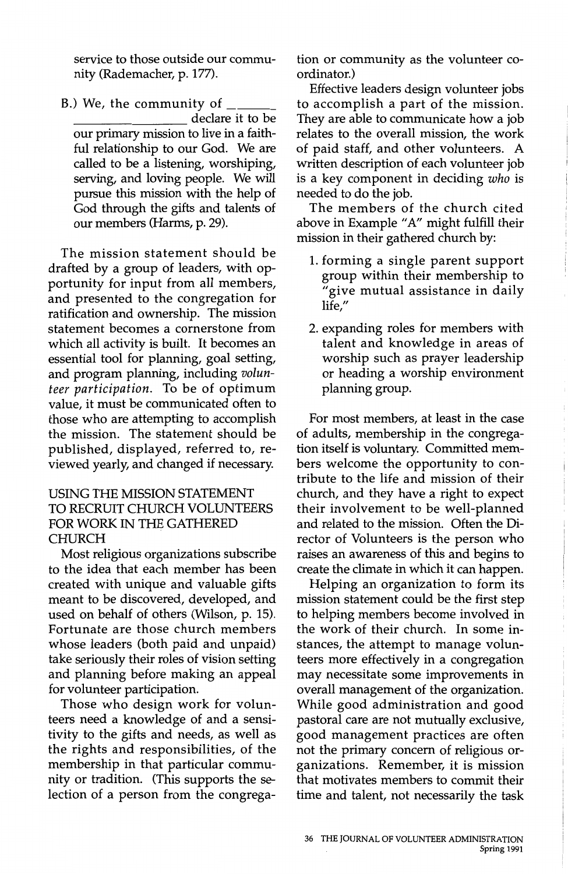service to those outside our community (Rademacher, p. 177).

B.) We, the community of declare it to be our primary mission to live in a faithful relationship to our God. We are called to be a listening, worshiping, serving, and loving people. We will pursue this mission with the help of God through the gifts and talents of our members (Harms, p. 29).

The mission statement should be drafted by a group of leaders, with opportunity for input from all members, and presented to the congregation for ratification and ownership. The mission statement becomes a cornerstone from which all activity is built. It becomes an essential tool for planning, goal setting, and program planning, including *volunteer participation.* To be of optimum value, it must be communicated often to those who are attempting to accomplish the mission. The statement should be published, displayed, referred to, reviewed yearly, and changed if necessary.

# USING THE MISSION STATEMENT TO RECRUIT CHURCH VOLUNTEERS FOR WORK IN THE GATHERED CHURCH

Most religious organizations subscribe to the idea that each member has been created with unique and valuable gifts meant to be discovered, developed, and used on behalf of others (Wilson, p. 15). Fortunate are those church members whose leaders (both paid and unpaid) take seriously their roles of vision setting and planning before making an appeal for volunteer participation.

Those who design work for volunteers need a knowledge of and a sensitivity to the gifts and needs, as well as the rights and responsibilities, of the membership in that particular community or tradition. (This supports the selection of a person from the congrega-

tion or community as the volunteer coordinator.)

Effective leaders design volunteer jobs to accomplish a part of the mission. They are able to communicate how a job relates to the overall mission, the work of paid staff, and other volunteers. A written description of each volunteer job is a key component in deciding *who* is needed to do the job.

The members of the church cited above in Example "A" might fulfill their mission in their gathered church by:

- 1. forming a single parent support group within their membership to 'give mutual assistance in daily life,"
- 2. expanding roles for members with talent and knowledge in areas of worship such as prayer leadership or heading a worship environment planning group.

For most members, at least in the case of adults, membership in the congregation itself is voluntary. Committed members welcome the opportunity to contribute to the life and mission of their church, and they have a right to expect their involvement to be well-planned and related to the mission. Often the Director of Volunteers is the person who raises an awareness of this and begins to create the climate in which it can happen.

Helping an organization to form its mission statement could be the first step to helping members become involved in the work of their church. In some instances, the attempt to manage volunteers more effectively in a congregation may necessitate some improvements in overall management of the organization. While good administration and good pastoral care are not mutually exclusive, good management practices are often not the primary concern of religious organizations. Remember, it is mission that motivates members to commit their time and talent, not necessarily the task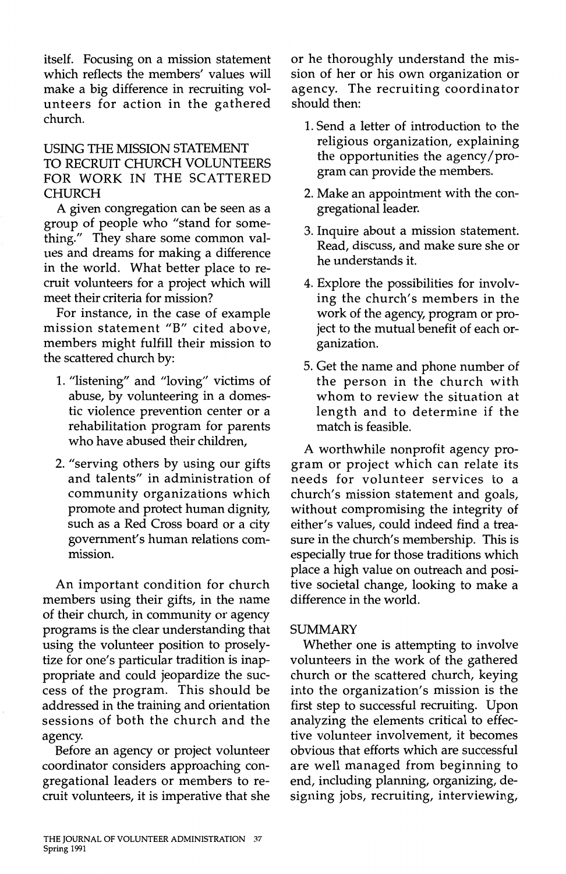itself. Focusing on a mission statement which reflects the members' values will make a big difference in recruiting volunteers for action in the gathered church.

# USING THE MISSION STATEMENT TO RECRUIT CHURCH VOLUNTEERS FOR WORK IN THE SCATTERED CHURCH

A given congregation can be seen as a group of people who "stand for something." They share some common values and dreams for making a difference in the world. What better place to recruit volunteers for a project which will meet their criteria for mission?

For instance, in the case of example mission statement "B" cited above, members might fulfill their mission to the scattered church by:

- 1. "listening" and "loving" victims of abuse, by volunteering in a domestic violence prevention center or a rehabilitation program for parents who have abused their children,
- 2. "serving others by using our gifts and talents" in administration of community organizations which promote and protect human dignity, such as a Red Cross board or a city government's human relations commission.

An important condition for church members using their gifts, in the name of their church, in community or agency programs is the clear understanding that using the volunteer position to proselytize for one's particular tradition is inappropriate and could jeopardize the success of the program. This should be addressed in the training and orientation sessions of both the church and the agency.

Before an agency or project volunteer coordinator considers approaching congregational leaders or members to recruit volunteers, it is imperative that she

or he thoroughly understand the mission of her or his own organization or agency. The recruiting coordinator should then:

- 1. Send a letter of introduction to the religious organization, explaining the opportunities the agency/ program can provide the members.
- 2. Make an appointment with the congregational leader.
- 3. Inquire about a mission statement. Read, discuss, and make sure she or he understands it.
- 4. Explore the possibilities for involving the church's members in the work of the agency, program or project to the mutual benefit of each organization.
- 5. Get the name and phone number of the person in the church with whom to review the situation at length and to determine if the match is feasible.

A worthwhile nonprofit agency program or project which can relate its needs for volunteer services to a church's mission statement and goals, without compromising the integrity of either's values, could indeed find a treasure in the church's membership. This is especially true for those traditions which place a high value on outreach and positive societal change, looking to make a difference in the world.

# SUMMARY

Whether one is attempting to involve volunteers in the work of the gathered church or the scattered church, keying into the organization's mission is the first step to successful recruiting. Upon analyzing the elements critical to effective volunteer involvement, it becomes obvious that efforts which are successful are well managed from beginning to end, including planning, organizing, designing jobs, recruiting, interviewing,